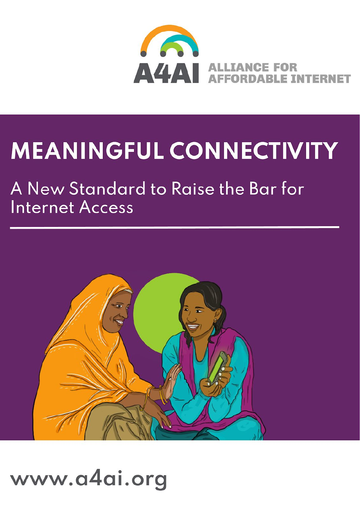

# **MEANINGFUL CONNECTIVITY**

# A New Standard to Raise the Bar for **Internet Access**



# www.a4ai.org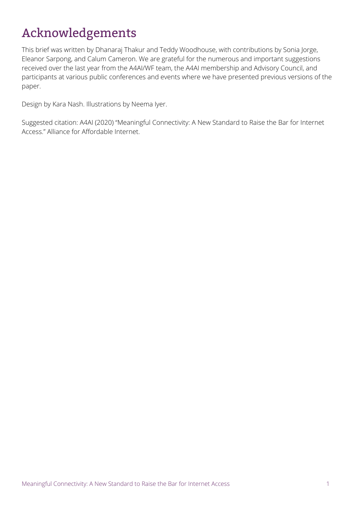# <span id="page-1-0"></span>Acknowledgements

This brief was written by Dhanaraj Thakur and Teddy Woodhouse, with contributions by Sonia Jorge, Eleanor Sarpong, and Calum Cameron. We are grateful for the numerous and important suggestions received over the last year from the A4AI/WF team, the A4AI membership and Advisory Council, and participants at various public conferences and events where we have presented previous versions of the paper.

Design by Kara Nash. Illustrations by Neema Iyer.

Suggested citation: A4AI (2020) "Meaningful Connectivity: A New Standard to Raise the Bar for Internet Access." Alliance for Affordable Internet.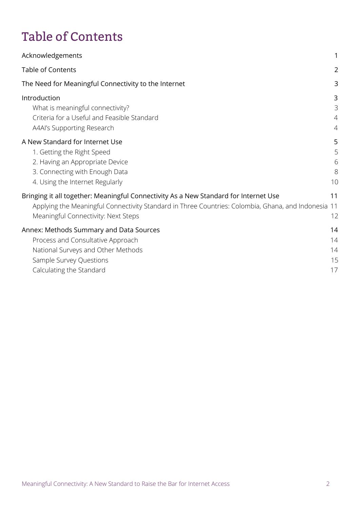# <span id="page-2-0"></span>Table of Contents

| Acknowledgements                                                                                                                                                                                                                   | 1                             |
|------------------------------------------------------------------------------------------------------------------------------------------------------------------------------------------------------------------------------------|-------------------------------|
| <b>Table of Contents</b>                                                                                                                                                                                                           | $\overline{2}$                |
| The Need for Meaningful Connectivity to the Internet                                                                                                                                                                               | 3                             |
| Introduction<br>What is meaningful connectivity?<br>Criteria for a Useful and Feasible Standard<br>A4AI's Supporting Research                                                                                                      | 3<br>3<br>$\overline{4}$<br>4 |
| A New Standard for Internet Use<br>1. Getting the Right Speed<br>2. Having an Appropriate Device<br>3. Connecting with Enough Data<br>4. Using the Internet Regularly                                                              | 5<br>5<br>6<br>8<br>10        |
| Bringing it all together: Meaningful Connectivity As a New Standard for Internet Use<br>Applying the Meaningful Connectivity Standard in Three Countries: Colombia, Ghana, and Indonesia 11<br>Meaningful Connectivity: Next Steps | 11<br>12                      |
| Annex: Methods Summary and Data Sources<br>Process and Consultative Approach<br>National Surveys and Other Methods<br>Sample Survey Questions<br>Calculating the Standard                                                          | 14<br>14<br>14<br>15<br>17    |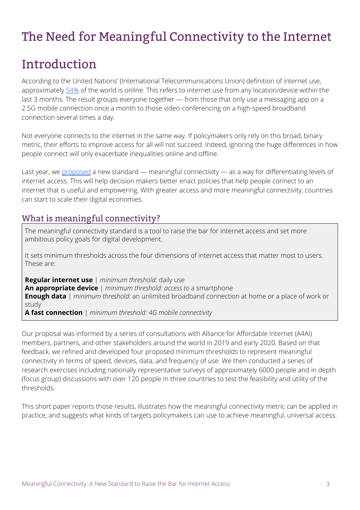# <span id="page-3-0"></span>The Need for Meaningful Connectivity to the Internet

## <span id="page-3-1"></span>Introduction

According to the United Nations' (International Telecommunications Union) definition of internet use, approximately [54%](https://www.itu.int/en/ITU-D/Statistics/Pages/stat/default.aspx) of the world is online. This refers to internet use from any location/device within the last 3 months. The result groups everyone together — from those that only use a messaging app on a 2.5G mobile connection once a month to those video-conferencing on a high-speed broadband connection several times a day.

Not everyone connects to the internet in the same way. If policymakers only rely on this broad, binary metric, their efforts to improve access for all will not succeed. Indeed, ignoring the huge differences in how people connect will only exacerbate inequalities online and offline.

Last year, we [proposed](https://a4ai.org/raising-the-bar-for-internet-access-introducing-meaningful-connectivity/) a new standard — meaningful connectivity — as a way for differentiating levels of internet access. This will help decision makers better enact policies that help people connect to an internet that is useful and empowering. With greater access and more meaningful connectivity, countries can start to scale their digital economies.

#### What is meaningful connectivity?

The meaningful connectivity standard is a tool to raise the bar for internet access and set more ambitious policy goals for digital development.

It sets minimum thresholds across the four dimensions of internet access that matter most to users. These are:

**Regular internet use** | *minimum threshold:* daily use **An appropriate device** | *minimum threshold: access to* a smartphone **Enough data** | *minimum threshold:* an unlimited broadband connection at home or a place of work or study

**A fast connection** | *minimum threshold: 4G mobile connectivity*

Our proposal was informed by a series of consultations with Alliance for Affordable Internet (A4AI) members, partners, and other stakeholders around the world in 2019 and early 2020. Based on that feedback, we refined and developed four proposed minimum thresholds to represent meaningful connectivity in terms of speed, devices, data, and frequency of use. We then conducted a series of research exercises including nationally representative surveys of approximately 6000 people and in depth (focus group) discussions with over 120 people in three countries to test the feasibility and utility of the thresholds.

This short paper reports those results, illustrates how the meaningful connectivity metric can be applied in practice, and suggests what kinds of targets policymakers can use to achieve meaningful, universal access.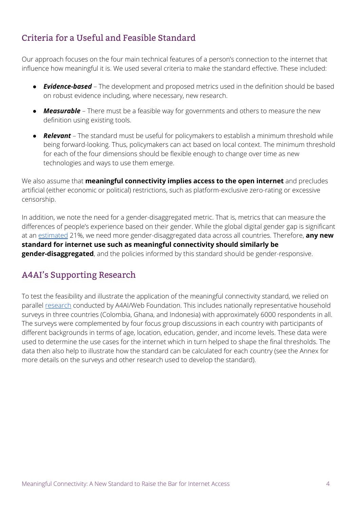### <span id="page-4-0"></span>Criteria for a Useful and Feasible Standard

Our approach focuses on the four main technical features of a person's connection to the internet that influence how meaningful it is. We used several criteria to make the standard effective. These included:

- *Evidence-based* The development and proposed metrics used in the definition should be based on robust evidence including, where necessary, new research.
- *Measurable* There must be a feasible way for governments and others to measure the new definition using existing tools.
- *Relevant* The standard must be useful for policymakers to establish a minimum threshold while being forward-looking. Thus, policymakers can act based on local context. The minimum threshold for each of the four dimensions should be flexible enough to change over time as new technologies and ways to use them emerge.

We also assume that **meaningful connectivity implies access to the open internet** and precludes artificial (either economic or political) restrictions, such as platform-exclusive zero-rating or excessive censorship.

In addition, we note the need for a gender-disaggregated metric. That is, metrics that can measure the differences of people's experience based on their gender. While the global digital gender gap is significant at an [estimated](https://webfoundation.org/2020/03/the-gender-gap-in-internet-access-using-a-women-centred-method/) 21%, we need more gender-disaggregated data across all countries. Therefore, **any new standard for internet use such as meaningful connectivity should similarly be gender-disaggregated**, and the policies informed by this standard should be gender-responsive.

#### <span id="page-4-1"></span>A4AI's Supporting Research

<span id="page-4-2"></span>To test the feasibility and illustrate the application of the meaningful connectivity standard, we relied on parallel [research](https://webfoundation.org/2019/10/deepening-our-understanding-of-the-digital-gender-divide-web-foundation-womens-rights-online-2019-household-survey/) conducted by A4AI/Web Foundation. This includes nationally representative household surveys in three countries (Colombia, Ghana, and Indonesia) with approximately 6000 respondents in all. The surveys were complemented by four focus group discussions in each country with participants of different backgrounds in terms of age, location, education, gender, and income levels. These data were used to determine the use cases for the internet which in turn helped to shape the final thresholds. The data then also help to illustrate how the standard can be calculated for each country (see the Annex for more details on the surveys and other research used to develop the standard).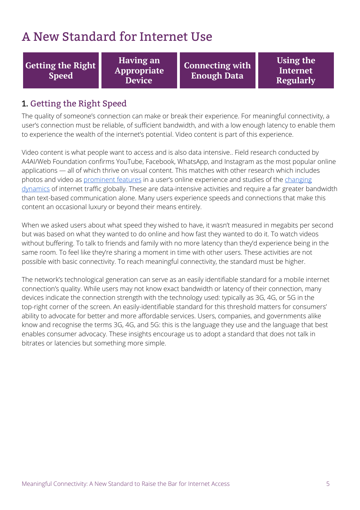## A New Standard for Internet Use

**Getting the Right Speed**

**Having an Appropriate Device**

**Connecting with Enough Data**

**Using the Internet Regularly**

#### <span id="page-5-0"></span>1. Getting the Right Speed

The quality of someone's connection can make or break their experience. For meaningful connectivity, a user's connection must be reliable, of sufficient bandwidth, and with a low enough latency to enable them to experience the wealth of the internet's potential. Video content is part of this experience.

Video content is what people want to access and is also data intensive.. Field research conducted by A4AI/Web Foundation confirms YouTube, Facebook, WhatsApp, and Instagram as the most popular online applications — all of which thrive on visual content. This matches with other research which includes photos and video as [prominent](https://www.pewresearch.org/internet/2019/08/22/in-emerging-economies-smartphone-and-social-media-users-have-broader-social-networks/) features in a user's online experience and studies of the [changing](https://www.ericsson.com/en/mobility-report/reports/november-2019/mobile-traffic-by-application-category) [dynamics](https://www.ericsson.com/en/mobility-report/reports/november-2019/mobile-traffic-by-application-category) of internet traffic globally. These are data-intensive activities and require a far greater bandwidth than text-based communication alone. Many users experience speeds and connections that make this content an occasional luxury or beyond their means entirely.

When we asked users about what speed they wished to have, it wasn't measured in megabits per second but was based on what they wanted to do online and how fast they wanted to do it. To watch videos without buffering. To talk to friends and family with no more latency than they'd experience being in the same room. To feel like they're sharing a moment in time with other users. These activities are not possible with basic connectivity. To reach meaningful connectivity, the standard must be higher.

The network's technological generation can serve as an easily identifiable standard for a mobile internet connection's quality. While users may not know exact bandwidth or latency of their connection, many devices indicate the connection strength with the technology used: typically as 3G, 4G, or 5G in the top-right corner of the screen. An easily-identifiable standard for this threshold matters for consumers' ability to advocate for better and more affordable services. Users, companies, and governments alike know and recognise the terms 3G, 4G, and 5G: this is the language they use and the language that best enables consumer advocacy. These insights encourage us to adopt a standard that does not talk in bitrates or latencies but something more simple.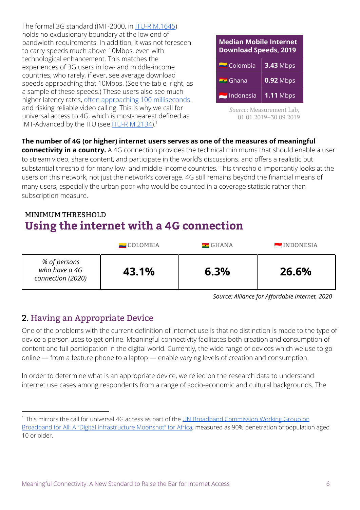The formal 3G standard (IMT-2000, in ITU-R [M.1645](https://www.itu.int/dms_pubrec/itu-r/rec/m/R-REC-M.1645-0-200306-I!!PDF-E.pdf)) holds no exclusionary boundary at the low end of bandwidth requirements. In addition, it was not foreseen to carry speeds much above 10Mbps, even with technological enhancement. This matches the experiences of 3G users in low- and middle-income countries, who rarely, if ever, see average download speeds approaching that 10Mbps. (See the table, right, as a sample of these speeds.) These users also see much higher latency rates, often [approaching](https://www.opensignal.com/market-insights) 100 milliseconds and risking reliable video calling. This is why we call for universal access to 4G, which is most-nearest defined as IMT-Advanced by the ITU (see <u>ITU-R [M.2134](https://www.itu.int/dms_pub/itu-r/opb/rep/R-REP-M.2134-2008-PDF-E.pdf)</u>).<sup>1</sup>

| <b>Median Mobile Internet</b><br><b>Download Speeds, 2019</b> |                  |  |
|---------------------------------------------------------------|------------------|--|
| $\blacksquare$ Colombia                                       | <b>3.43 Mbps</b> |  |
| $\blacksquare$ Ghana                                          | $0.92$ Mbps      |  |
| Indonesia                                                     | $1.11$ Mbps      |  |

*Source:* Measurement Lab, 01.01.2019–30.09.2019

#### **The number of 4G (or higher) internet users serves as one of the measures of meaningful**

**connectivity in a country.** A 4G connection provides the technical minimums that should enable a user to stream video, share content, and participate in the world's discussions. and offers a realistic but substantial threshold for many low- and middle-income countries. This threshold importantly looks at the users on this network, not just the network's coverage. 4G still remains beyond the financial means of many users, especially the urban poor who would be counted in a coverage statistic rather than subscription measure.

#### MINIMUM THRESHOLD **Using the internet with a 4G connection**

|                                                    | $\blacksquare$ COLOMBIA | $\blacksquare$ GHANA | <b>EMPLOYESIA</b> |
|----------------------------------------------------|-------------------------|----------------------|-------------------|
| % of persons<br>who have a 4G<br>connection (2020) | 43.1%                   | 6.3%                 | 26.6%             |

*Source: Alliance for Affordable Internet, 2020*

#### <span id="page-6-0"></span>2. Having an Appropriate Device

One of the problems with the current definition of internet use is that no distinction is made to the type of device a person uses to get online. Meaningful connectivity facilitates both creation and consumption of content and full participation in the digital world. Currently, the wide range of devices which we use to go online — from a feature phone to a laptop — enable varying levels of creation and consumption.

In order to determine what is an appropriate device, we relied on the research data to understand internet use cases among respondents from a range of socio-economic and cultural backgrounds. The

<sup>&</sup>lt;sup>1</sup> This mirrors the call for universal 4G access as part of the UN Broadband [Commission](https://broadbandcommission.org/workinggroups/Pages/WG2-2018.aspx) Working Group on Broadband for All: A "Digital [Infrastructure](https://broadbandcommission.org/workinggroups/Pages/WG2-2018.aspx) Moonshot" for Africa; measured as 90% penetration of population aged 10 or older.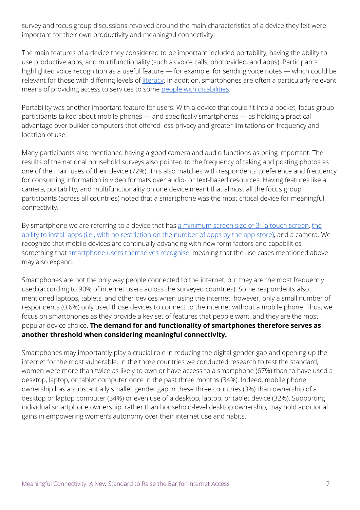survey and focus group discussions revolved around the main characteristics of a device they felt were important for their own productivity and meaningful connectivity.

The main features of a device they considered to be important included portability, having the ability to use productive apps, and multifunctionality (such as voice calls, photo/video, and apps). Participants highlighted voice recognition as a useful feature — for example, for sending voice notes — which could be relevant for those with differing levels of *[literacy](https://webfoundation.org/research/who-wins-who-loses-understanding-womens-experiences-of-social-media-taxation-in-east-and-southern-africa/)*. In addition, smartphones are often a particularly relevant means of providing access to services to some people with [disabilities](https://www.un.org/development/desa/disabilities/wp-content/uploads/sites/15/2019/07/disability-report-chapter2.pdf).

Portability was another important feature for users. With a device that could fit into a pocket, focus group participants talked about mobile phones — and specifically smartphones — as holding a practical advantage over bulkier computers that offered less privacy and greater limitations on frequency and location of use.

Many participants also mentioned having a good camera and audio functions as being important. The results of the national household surveys also pointed to the frequency of taking and posting photos as one of the main uses of their device (72%). This also matches with respondents' preference and frequency for consuming information in video formats over audio- or text-based resources. Having features like a camera, portability, and multifunctionality on one device meant that almost all the focus group participants (across all countries) noted that a smartphone was the most critical device for meaningful connectivity.

By smartphone we are referring to a device that has a [minimum](https://www.pcmag.com/encyclopedia/term/cellphones-vs-smartphones) screen size of 3", a touch screen, [the](https://www.itu.int/dms_pub/itu-d/opb/ind/D-IND-ITCMEAS-2014-C2-PDF-E.pdf) ability to install apps (i.e., with no [restriction](https://www.itu.int/dms_pub/itu-d/opb/ind/D-IND-ITCMEAS-2014-C2-PDF-E.pdf) on the number of apps by the app store), and a camera. We recognize that mobile devices are continually advancing with new form factors and capabilities something that [smartphone](https://www.pewresearch.org/internet/2019/06/13/mobile-technology-and-home-broadband-2019/pi_2019-06-13_broadband_0-02/) users themselves recognise, meaning that the use cases mentioned above may also expand.

Smartphones are not the only way people connected to the internet, but they are the most frequently used (according to 90% of internet users across the surveyed countries). Some respondents also mentioned laptops, tablets, and other devices when using the internet: however, only a small number of respondents (0.6%) only used those devices to connect to the internet without a mobile phone. Thus, we focus on smartphones as they provide a key set of features that people want, and they are the most popular device choice. **The demand for and functionality of smartphones therefore serves as another threshold when considering meaningful connectivity.**

Smartphones may importantly play a crucial role in reducing the digital gender gap and opening up the internet for the most vulnerable. In the three countries we conducted research to test the standard, women were more than twice as likely to own or have access to a smartphone (67%) than to have used a desktop, laptop, or tablet computer once in the past three months (34%). Indeed, mobile phone ownership has a substantially smaller gender gap in these three countries (3%) than ownership of a desktop or laptop computer (34%) or even use of a desktop, laptop, or tablet device (32%). Supporting individual smartphone ownership, rather than household-level desktop ownership, may hold additional gains in empowering women's autonomy over their internet use and habits.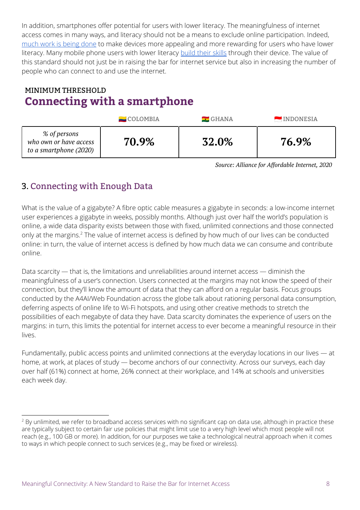In addition, smartphones offer potential for users with lower literacy. The meaningfulness of internet access comes in many ways, and literacy should not be a means to exclude online participation. Indeed, [much](https://www.kaiostech.com/first-time-internet-users-in-nigeria-use-the-internet-in-a-unique-way-heres-why-that-matters/) work is being done to make devices more appealing and more rewarding for users who have lower literacy. Many mobile phone users with lower literacy [build](https://unesdoc.unesco.org/ark:/48223/pf0000227436) their skills through their device. The value of this standard should not just be in raising the bar for internet service but also in increasing the number of people who can connect to and use the internet.

## MINIMUM THRESHOLD **Connecting with a smartphone**

|                                                                  | $\blacksquare$ COLOMBIA | $\blacksquare$ GHANA | INDONESIA |
|------------------------------------------------------------------|-------------------------|----------------------|-----------|
| % of persons<br>who own or have access<br>to a smartphone (2020) | 70.9%                   | 32.0%                | 76.9%     |

*Source: Alliance for Affordable Internet, 2020*

## <span id="page-8-0"></span>3. Connecting with Enough Data

What is the value of a gigabyte? A fibre optic cable measures a gigabyte in seconds: a low-income internet user experiences a gigabyte in weeks, possibly months. Although just over half the world's population is online, a wide data disparity exists between those with fixed, unlimited connections and those connected only at the margins.<sup>2</sup> The value of internet access is defined by how much of our lives can be conducted online: in turn, the value of internet access is defined by how much data we can consume and contribute online.

Data scarcity — that is, the limitations and unreliabilities around internet access — diminish the meaningfulness of a user's connection. Users connected at the margins may not know the speed of their connection, but they'll know the amount of data that they can afford on a regular basis. Focus groups conducted by the A4AI/Web Foundation across the globe talk about rationing personal data consumption, deferring aspects of online life to Wi-Fi hotspots, and using other creative methods to stretch the possibilities of each megabyte of data they have. Data scarcity dominates the experience of users on the margins: in turn, this limits the potential for internet access to ever become a meaningful resource in their lives.

Fundamentally, public access points and unlimited connections at the everyday locations in our lives — at home, at work, at places of study — become anchors of our connectivity. Across our surveys, each day over half (61%) connect at home, 26% connect at their workplace, and 14% at schools and universities each week day.

<sup>&</sup>lt;sup>2</sup> By unlimited, we refer to broadband access services with no significant cap on data use, although in practice these are typically subject to certain fair use policies that might limit use to a very high level which most people will not reach (e.g., 100 GB or more). In addition, for our purposes we take a technological neutral approach when it comes to ways in which people connect to such services (e.g., may be fixed or wireless).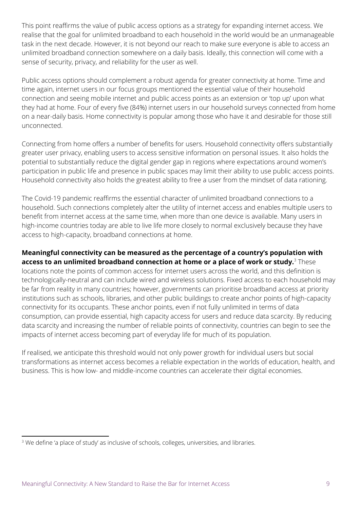This point reaffirms the value of public access options as a strategy for expanding internet access. We realise that the goal for unlimited broadband to each household in the world would be an unmanageable task in the next decade. However, it is not beyond our reach to make sure everyone is able to access an unlimited broadband connection somewhere on a daily basis. Ideally, this connection will come with a sense of security, privacy, and reliability for the user as well.

Public access options should complement a robust agenda for greater connectivity at home. Time and time again, internet users in our focus groups mentioned the essential value of their household connection and seeing mobile internet and public access points as an extension or 'top up' upon what they had at home. Four of every five (84%) internet users in our household surveys connected from home on a near-daily basis. Home connectivity is popular among those who have it and desirable for those still unconnected.

Connecting from home offers a number of benefits for users. Household connectivity offers substantially greater user privacy, enabling users to access sensitive information on personal issues. It also holds the potential to substantially reduce the digital gender gap in regions where expectations around women's participation in public life and presence in public spaces may limit their ability to use public access points. Household connectivity also holds the greatest ability to free a user from the mindset of data rationing.

The Covid-19 pandemic reaffirms the essential character of unlimited broadband connections to a household. Such connections completely alter the utility of internet access and enables multiple users to benefit from internet access at the same time, when more than one device is available. Many users in high-income countries today are able to live life more closely to normal exclusively because they have access to high-capacity, broadband connections at home.

#### **Meaningful connectivity can be measured as the percentage of a country's population with access to an unlimited broadband connection at home or a place of work or study.** These 3

locations note the points of common access for internet users across the world, and this definition is technologically-neutral and can include wired and wireless solutions. Fixed access to each household may be far from reality in many countries; however, governments can prioritise broadband access at priority institutions such as schools, libraries, and other public buildings to create anchor points of high-capacity connectivity for its occupants. These anchor points, even if not fully unlimited in terms of data consumption, can provide essential, high capacity access for users and reduce data scarcity. By reducing data scarcity and increasing the number of reliable points of connectivity, countries can begin to see the impacts of internet access becoming part of everyday life for much of its population.

If realised, we anticipate this threshold would not only power growth for individual users but social transformations as internet access becomes a reliable expectation in the worlds of education, health, and business. This is how low- and middle-income countries can accelerate their digital economies.

<sup>&</sup>lt;sup>3</sup> We define 'a place of study' as inclusive of schools, colleges, universities, and libraries.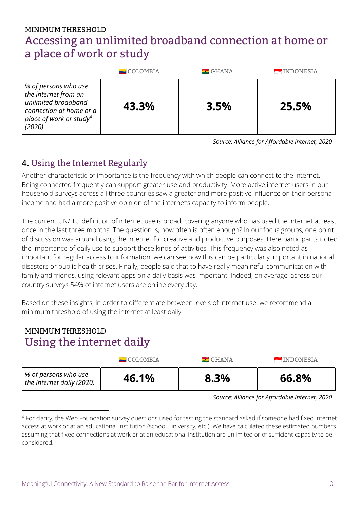## MINIMUM THRESHOLD Accessing an unlimited broadband connection at home or a place of work or study

|                                                                                                                                                 | $\blacksquare$ COLOMBIA | $\blacksquare$ GHANA | <b>EMPONESIA</b> |
|-------------------------------------------------------------------------------------------------------------------------------------------------|-------------------------|----------------------|------------------|
| % of persons who use<br>the internet from an<br>unlimited broadband<br>connection at home or a<br>place of work or study <sup>4</sup><br>(2020) | 43.3%                   | 3.5%                 | 25.5%            |

*Source: Alliance for Affordable Internet, 2020*

### <span id="page-10-0"></span>4. Using the Internet Regularly

Another characteristic of importance is the frequency with which people can connect to the internet. Being connected frequently can support greater use and productivity. More active internet users in our household surveys across all three countries saw a greater and more positive influence on their personal income and had a more positive opinion of the internet's capacity to inform people.

The current UN/ITU definition of internet use is broad, covering anyone who has used the internet at least once in the last three months. The question is, how often is often enough? In our focus groups, one point of discussion was around using the internet for creative and productive purposes. Here participants noted the importance of daily use to support these kinds of activities. This frequency was also noted as important for regular access to information; we can see how this can be particularly important in national disasters or public health crises. Finally, people said that to have really meaningful communication with family and friends, using relevant apps on a daily basis was important. Indeed, on average, across our country surveys 54% of internet users are online every day.

Based on these insights, in order to differentiate between levels of internet use, we recommend a minimum threshold of using the internet at least daily.

### MINIMUM THRESHOLD Using the internet daily

|                                                   | $\blacksquare$ COLOMBIA | $\blacksquare$ GHANA | INDONESIA |
|---------------------------------------------------|-------------------------|----------------------|-----------|
| % of persons who use<br>the internet daily (2020) | 46.1%                   | 8.3%                 | 66.8%     |

*Source: Alliance for Affordable Internet, 2020*

<sup>&</sup>lt;sup>4</sup> For clarity, the Web Foundation survey questions used for testing the standard asked if someone had fixed internet access at work or at an educational institution (school, university, etc.). We have calculated these estimated numbers assuming that fixed connections at work or at an educational institution are unlimited or of sufficient capacity to be considered.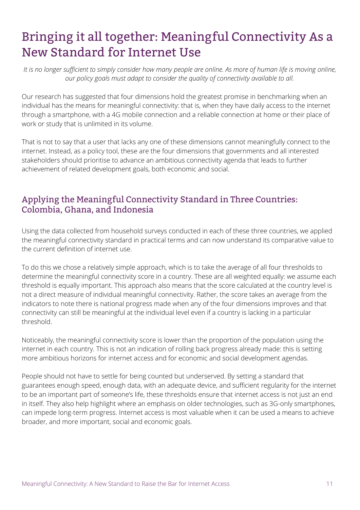# <span id="page-11-0"></span>Bringing it all together: Meaningful Connectivity As a New Standard for Internet Use

It is no longer sufficient to simply consider how many people are online. As more of human life is moving online, *our policy goals must adapt to consider the quality of connectivity available to all.*

Our research has suggested that four dimensions hold the greatest promise in benchmarking when an individual has the means for meaningful connectivity: that is, when they have daily access to the internet through a smartphone, with a 4G mobile connection and a reliable connection at home or their place of work or study that is unlimited in its volume.

That is not to say that a user that lacks any one of these dimensions cannot meaningfully connect to the internet. Instead, as a policy tool, these are the four dimensions that governments and all interested stakeholders should prioritise to advance an ambitious connectivity agenda that leads to further achievement of related development goals, both economic and social.

#### <span id="page-11-1"></span>Applying the Meaningful Connectivity Standard in Three Countries: Colombia, Ghana, and Indonesia

Using the data collected from household surveys conducted in each of these three countries, we applied the meaningful connectivity standard in practical terms and can now understand its comparative value to the current definition of internet use.

To do this we chose a relatively simple approach, which is to take the average of all four thresholds to determine the meaningful connectivity score in a country. These are all weighted equally: we assume each threshold is equally important. This approach also means that the score calculated at the country level is not a direct measure of individual meaningful connectivity. Rather, the score takes an average from the indicators to note there is national progress made when any of the four dimensions improves and that connectivity can still be meaningful at the individual level even if a country is lacking in a particular threshold.

Noticeably, the meaningful connectivity score is lower than the proportion of the population using the internet in each country. This is not an indication of rolling back progress already made: this is setting more ambitious horizons for internet access and for economic and social development agendas.

People should not have to settle for being counted but underserved. By setting a standard that guarantees enough speed, enough data, with an adequate device, and sufficient regularity for the internet to be an important part of someone's life, these thresholds ensure that internet access is not just an end in itself. They also help highlight where an emphasis on older technologies, such as 3G-only smartphones, can impede long-term progress. Internet access is most valuable when it can be used a means to achieve broader, and more important, social and economic goals.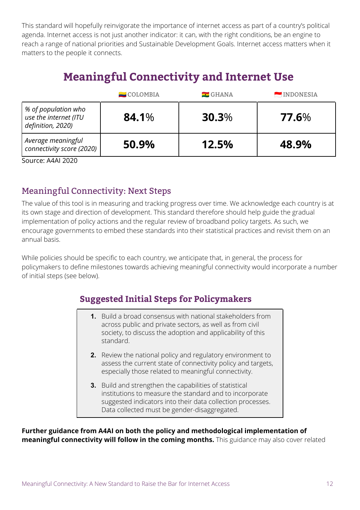This standard will hopefully reinvigorate the importance of internet access as part of a country's political agenda. Internet access is not just another indicator: it can, with the right conditions, be an engine to reach a range of national priorities and Sustainable Development Goals. Internet access matters when it matters to the people it connects.

## **Meaningful Connectivity and Internet Use**

|                                                                   | $\blacksquare$ COLOMBIA | $\blacksquare$ GHANA | <b>EXAMPLE INDONESIA</b> |
|-------------------------------------------------------------------|-------------------------|----------------------|--------------------------|
| % of population who<br>use the internet (ITU<br>definition, 2020) | 84.1%                   | $30.3\%$             | 77.6%                    |
| Average meaningful<br>connectivity score (2020)                   | 50.9%                   | 12.5%                | 48.9%                    |

Source: A4AI 2020

#### <span id="page-12-0"></span>Meaningful Connectivity: Next Steps

The value of this tool is in measuring and tracking progress over time. We acknowledge each country is at its own stage and direction of development. This standard therefore should help guide the gradual implementation of policy actions and the regular review of broadband policy targets. As such, we encourage governments to embed these standards into their statistical practices and revisit them on an annual basis.

While policies should be specific to each country, we anticipate that, in general, the process for policymakers to define milestones towards achieving meaningful connectivity would incorporate a number of initial steps (see below).

#### **Suggested Initial Steps for Policymakers**

- **1.** Build a broad consensus with national stakeholders from across public and private sectors, as well as from civil society, to discuss the adoption and applicability of this standard.
	- **2.** Review the national policy and regulatory environment to assess the current state of connectivity policy and targets, especially those related to meaningful connectivity.
	- **3.** Build and strengthen the capabilities of statistical institutions to measure the standard and to incorporate suggested indicators into their data collection processes. Data collected must be gender-disaggregated.

**Further guidance from A4AI on both the policy and methodological implementation of meaningful connectivity will follow in the coming months.** This guidance may also cover related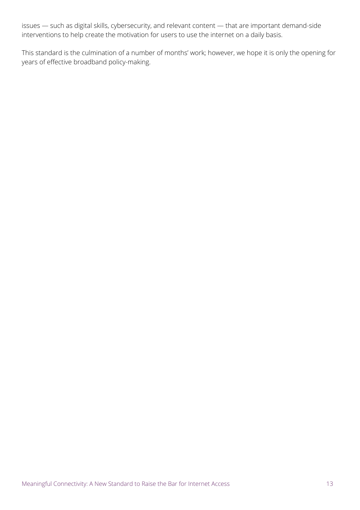issues — such as digital skills, cybersecurity, and relevant content — that are important demand-side interventions to help create the motivation for users to use the internet on a daily basis.

This standard is the culmination of a number of months' work; however, we hope it is only the opening for years of effective broadband policy-making.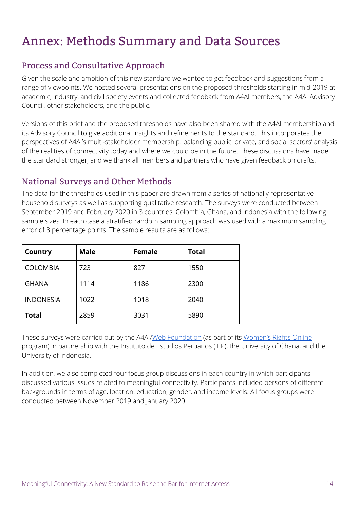## <span id="page-14-0"></span>Annex: Methods Summary and Data Sources

#### <span id="page-14-1"></span>Process and Consultative Approach

Given the scale and ambition of this new standard we wanted to get feedback and suggestions from a range of viewpoints. We hosted several presentations on the proposed thresholds starting in mid-2019 at academic, industry, and civil society events and collected feedback from A4AI members, the A4AI Advisory Council, other stakeholders, and the public.

Versions of this brief and the proposed thresholds have also been shared with the A4AI membership and its Advisory Council to give additional insights and refinements to the standard. This incorporates the perspectives of A4AI's multi-stakeholder membership: balancing public, private, and social sectors' analysis of the realities of connectivity today and where we could be in the future. These discussions have made the standard stronger, and we thank all members and partners who have given feedback on drafts.

#### <span id="page-14-2"></span>National Surveys and Other Methods

The data for the thresholds used in this paper are drawn from a series of nationally representative household surveys as well as supporting qualitative research. The surveys were conducted between September 2019 and February 2020 in 3 countries: Colombia, Ghana, and Indonesia with the following sample sizes. In each case a stratified random sampling approach was used with a maximum sampling error of 3 percentage points. The sample results are as follows:

| Country          | <b>Male</b> | Female | <b>Total</b> |
|------------------|-------------|--------|--------------|
| <b>COLOMBIA</b>  | 723         | 827    | 1550         |
| <b>GHANA</b>     | 1114        | 1186   | 2300         |
| <b>INDONESIA</b> | 1022        | 1018   | 2040         |
| <b>Total</b>     | 2859        | 3031   | 5890         |

These surveys were carried out by the A4AI/Web [Foundation](https://webfoundation.org/2019/10/deepening-our-understanding-of-the-digital-gender-divide-web-foundation-womens-rights-online-2019-household-survey/) (as part of its [Women's](https://webfoundation.org/our-work/projects/womens-rights-online/) Rights Online program) in partnership with the Instituto de Estudios Peruanos (IEP), the University of Ghana, and the University of Indonesia.

In addition, we also completed four focus group discussions in each country in which participants discussed various issues related to meaningful connectivity. Participants included persons of different backgrounds in terms of age, location, education, gender, and income levels. All focus groups were conducted between November 2019 and January 2020.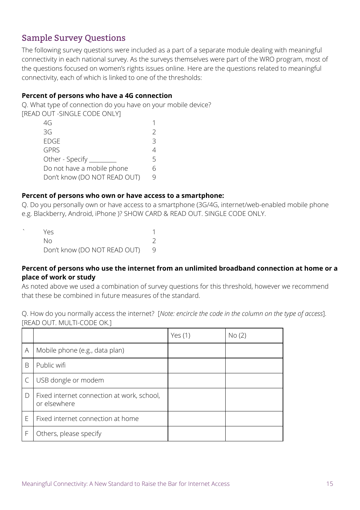#### <span id="page-15-0"></span>Sample Survey Questions

The following survey questions were included as a part of a separate module dealing with meaningful connectivity in each national survey. As the surveys themselves were part of the WRO program, most of the questions focused on women's rights issues online. Here are the questions related to meaningful connectivity, each of which is linked to one of the thresholds:

#### **Percent of persons who have a 4G connection**

Q. What type of connection do you have on your mobile device? [READ OUT -SINGLE CODE ONLY]

| 4G                           |   |
|------------------------------|---|
| 3G                           |   |
| <b>EDGE</b>                  | 3 |
| <b>GPRS</b>                  |   |
| Other - Specify _            | 5 |
| Do not have a mobile phone   |   |
| Don't know (DO NOT READ OUT) |   |
|                              |   |

#### **Percent of persons who own or have access to a smartphone:**

Q. Do you personally own or have access to a smartphone (3G/4G, internet/web-enabled mobile phone e.g. Blackberry, Android, iPhone )? SHOW CARD & READ OUT. SINGLE CODE ONLY.

| Yes.                         |  |
|------------------------------|--|
| NΩ                           |  |
| Don't know (DO NOT READ OUT) |  |

#### **Percent of persons who use the internet from an unlimited broadband connection at home or a place of work or study**

As noted above we used a combination of survey questions for this threshold, however we recommend that these be combined in future measures of the standard.

Q. How do you normally access the internet? [*Note: encircle the code in the column on the type of access*]. [READ OUT. MULTI-CODE OK.]

|        |                                                            | Yes $(1)$ | No(2) |
|--------|------------------------------------------------------------|-----------|-------|
| A      | Mobile phone (e.g., data plan)                             |           |       |
| B      | Public wifi                                                |           |       |
|        | USB dongle or modem                                        |           |       |
| $\Box$ | Fixed internet connection at work, school,<br>or elsewhere |           |       |
| E      | Fixed internet connection at home                          |           |       |
| F      | Others, please specify                                     |           |       |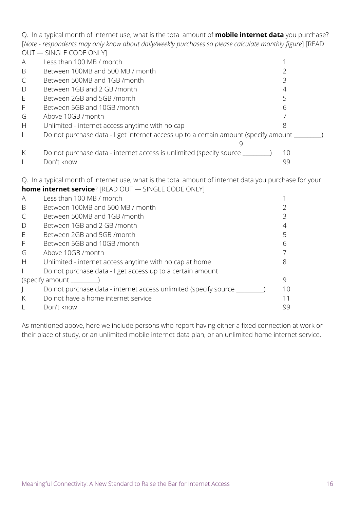Q. In a typical month of internet use, what is the total amount of **mobile internet data** you purchase? [*Note - respondents may only know about daily/weekly purchases so please calculate monthly figure*] [READ OUT — SINGLE CODE ONLY]

| $\overline{\mathsf{A}}$ | Less than 100 MB / month                                                            |    |  |
|-------------------------|-------------------------------------------------------------------------------------|----|--|
| B                       | Between 100MB and 500 MB / month                                                    |    |  |
|                         | Between 500MB and 1GB /month                                                        |    |  |
| D                       | Between 1GB and 2 GB /month                                                         |    |  |
| E                       | Between 2GB and 5GB /month                                                          |    |  |
| F                       | Between 5GB and 10GB / month                                                        |    |  |
| G                       | Above 10GB /month                                                                   |    |  |
| H                       | Unlimited - internet access anytime with no cap                                     |    |  |
|                         | Do not purchase data - I get internet access up to a certain amount (specify amount |    |  |
| K                       | Do not purchase data - internet access is unlimited (specify source _               | 10 |  |
|                         | Don't know                                                                          | 99 |  |

Q. In a typical month of internet use, what is the total amount of internet data you purchase for your **home internet service**? [READ OUT — SINGLE CODE ONLY]

|              | <b>INDITIE INTERNET SEI VICE</b> : INLAD OUT — SINULL CODE ONLY     |    |  |  |  |
|--------------|---------------------------------------------------------------------|----|--|--|--|
| A            | Less than 100 MB / month                                            |    |  |  |  |
| B            | Between 100MB and 500 MB / month                                    |    |  |  |  |
| C            | Between 500MB and 1GB /month                                        |    |  |  |  |
| $\mathsf{D}$ | Between 1GB and 2 GB /month                                         |    |  |  |  |
| E            | Between 2GB and 5GB /month                                          |    |  |  |  |
| $\mathsf{F}$ | Between 5GB and 10GB /month                                         |    |  |  |  |
| G            | Above 10GB /month                                                   |    |  |  |  |
| H            | Unlimited - internet access anytime with no cap at home             |    |  |  |  |
|              | Do not purchase data - I get access up to a certain amount          |    |  |  |  |
|              | (specify amount                                                     |    |  |  |  |
|              | Do not purchase data - internet access unlimited (specify source __ | 10 |  |  |  |
| K            | Do not have a home internet service                                 | 11 |  |  |  |
|              | Don't know                                                          | 99 |  |  |  |

As mentioned above, here we include persons who report having either a fixed connection at work or their place of study, or an unlimited mobile internet data plan, or an unlimited home internet service.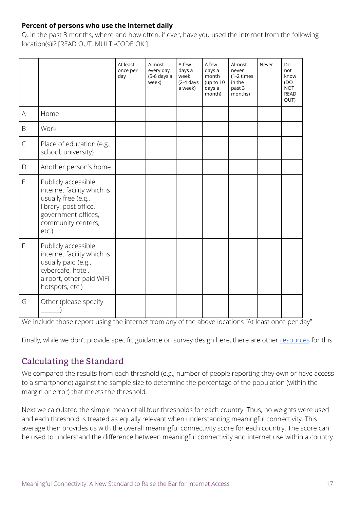#### **Percent of persons who use the internet daily**

Q. In the past 3 months, where and how often, if ever, have you used the internet from the following location(s)i? [READ OUT. MULTI-CODE OK.]

|                                                                                                        |                                                                                                                                                            | At least<br>once per<br>day | Almost<br>every day<br>(5-6 days a<br>week) | A few<br>days a<br>week<br>$(2-4 \text{ days})$<br>a week) | A few<br>days a<br>month<br>(up to 10<br>days a<br>month) | Almost<br>never<br>$(1-2 \times 1)$<br>in the<br>past 3<br>months) | Never | Do<br>not<br>know<br>(DO<br><b>NOT</b><br><b>READ</b><br>OUT) |
|--------------------------------------------------------------------------------------------------------|------------------------------------------------------------------------------------------------------------------------------------------------------------|-----------------------------|---------------------------------------------|------------------------------------------------------------|-----------------------------------------------------------|--------------------------------------------------------------------|-------|---------------------------------------------------------------|
| $\mathsf{A}% _{\mathsf{A}}^{\prime}=\mathsf{A}_{\mathsf{A}}^{\prime}=\mathsf{A}_{\mathsf{A}}^{\prime}$ | Home                                                                                                                                                       |                             |                                             |                                                            |                                                           |                                                                    |       |                                                               |
| $\mathsf B$                                                                                            | Work                                                                                                                                                       |                             |                                             |                                                            |                                                           |                                                                    |       |                                                               |
| $\mathsf{C}$                                                                                           | Place of education (e.g.,<br>school, university)                                                                                                           |                             |                                             |                                                            |                                                           |                                                                    |       |                                                               |
| $\mathsf{D}%$                                                                                          | Another person's home                                                                                                                                      |                             |                                             |                                                            |                                                           |                                                                    |       |                                                               |
| E                                                                                                      | Publicly accessible<br>internet facility which is<br>usually free (e.g.,<br>library, post office,<br>government offices,<br>community centers,<br>$etc.$ ) |                             |                                             |                                                            |                                                           |                                                                    |       |                                                               |
| F                                                                                                      | Publicly accessible<br>internet facility which is<br>usually paid (e.g.,<br>cybercafe, hotel,<br>airport, other paid WiFi<br>hotspots, etc.)               |                             |                                             |                                                            |                                                           |                                                                    |       |                                                               |
| G                                                                                                      | Other (please specify                                                                                                                                      |                             |                                             |                                                            |                                                           |                                                                    |       |                                                               |

We include those report using the internet from any of the above locations "At least once per day"

<span id="page-17-0"></span>Finally, while we don't provide specific guidance on survey design here, there are other [resources](https://webfoundation.org/2018/06/measuring-womens-connectivity-a-toolkit-for-researching-access-and-use/) for this.

#### Calculating the Standard

We compared the results from each threshold (e.g., number of people reporting they own or have access to a smartphone) against the sample size to determine the percentage of the population (within the margin or error) that meets the threshold.

Next we calculated the simple mean of all four thresholds for each country. Thus, no weights were used and each threshold is treated as equally relevant when understanding meaningful connectivity. This average then provides us with the overall meaningful connectivity score for each country. The score can be used to understand the difference between meaningful connectivity and internet use within a country.